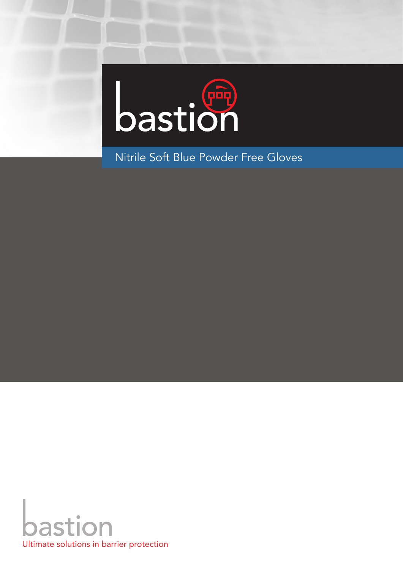

Nitrile Soft Blue Powder Free Gloves